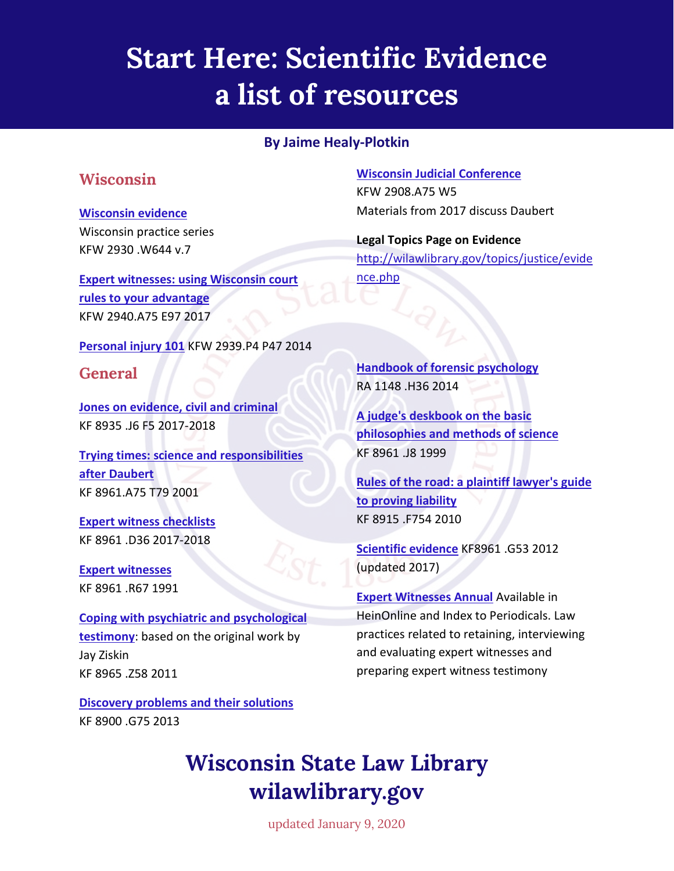# **Start Here: Scientific Evidence a list of resources**

#### **By Jaime Healy-Plotkin**

### **Wisconsin**

#### **[Wisconsin evidence](http://wiscl.wsll.state.wi.us/record=b192654)**

Wisconsin practice series KFW 2930 .W644 v.7

**[Expert witnesses: using Wisconsin court](http://wiscl.wsll.state.wi.us/record=b192748)  [rules to your advantage](http://wiscl.wsll.state.wi.us/record=b192748)** KFW 2940.A75 E97 2017

**[Personal injury 101](http://wiscl.wsll.state.wi.us/record=b179048)** KFW 2939.P4 P47 2014

### **General**

**[Jones on evidence, civil and criminal](http://wiscl.wsll.state.wi.us/record=b128268)**  KF 8935 .J6 F5 2017-2018

**[Trying times: science and responsibilities](http://wiscl.wsll.state.wi.us/record=b144907)  [after Daubert](http://wiscl.wsll.state.wi.us/record=b144907)**  KF 8961.A75 T79 2001

**[Expert witness checklists](http://wiscl.wsll.state.wi.us/record=b141570)**  KF 8961 .D36 2017-2018

**[Expert witnesses](http://wiscl.wsll.state.wi.us/record=b123955)**  KF 8961 .R67 1991

**[Coping with psychiatric and psychological](http://wiscl.wsll.state.wi.us/record=b172902)  [testimony](http://wiscl.wsll.state.wi.us/record=b172902)**: based on the original work by Jay Ziskin KF 8965 .Z58 2011

**[Discovery problems and](http://wiscl.wsll.state.wi.us/record=b175957) their solutions** KF 8900 .G75 2013

**[Wisconsin Judicial Conference](http://wiscl.wsll.state.wi.us/record=b102738)**  KFW 2908.A75 W5 Materials from 2017 discuss Daubert

**Legal Topics Page on Evidence** [http://wilawlibrary.gov/topics/justice/evide](http://wilawlibrary.gov/topics/justice/evidence.php) [nce.php](http://wilawlibrary.gov/topics/justice/evidence.php)

**[Handbook of forensic psychology](https://wiscl.wsll.state.wi.us/record=b182703)** RA 1148 .H36 2014

**[A judge's deskbook on the basic](http://wiscl.wsll.state.wi.us/record=b141621)  [philosophies and methods of science](http://wiscl.wsll.state.wi.us/record=b141621)** KF 8961 .J8 1999

**[Rules of the road: a plaintiff lawyer's guide](http://wiscl.wsll.state.wi.us/record=b192456)  [to proving liability](http://wiscl.wsll.state.wi.us/record=b192456)** KF 8915 .F754 2010

**[Scientific evidence](http://wiscl.wsll.state.wi.us/record=b175098)** KF8961 .G53 2012 (updated 2017)

**[Expert Witnesses Annual](http://wiscl.wsll.state.wi.us/record=b172732)** Available in HeinOnline and Index to Periodicals. Law practices related to retaining, interviewing and evaluating expert witnesses and preparing expert witness testimony

### **Wisconsin State Law Library wilawlibrary.gov**

updated January 9, 2020